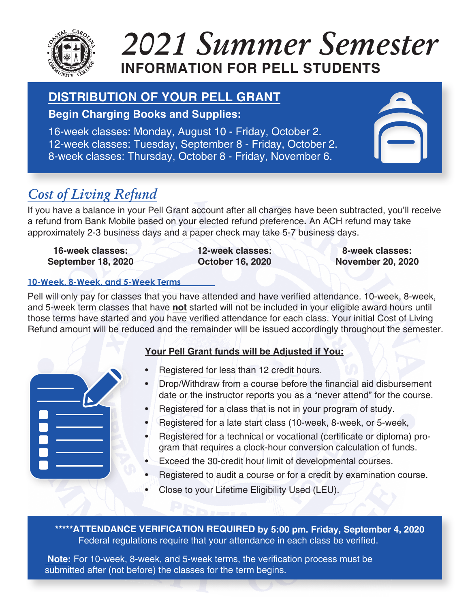

# **INFORMATION FOR PELL STUDENTS**  *2021 Summer Semester*

# **DISTRIBUTION OF YOUR PELL GRANT**

### **Begin Charging Books and Supplies**

16-week classes: Monday, August 10 - Friday, October 2. 12-week classes: Tuesday, September 8 - Friday, October 2. 8-week classes: Thursday, October 8 - Friday, November 6.



## *Cost of Living Refund*

If you have a balance in your Pell Grant account after all charges have been subtracted, you'll receive a refund from Bank Mobile based on your elected refund preference**.** An ACH refund may take approximately 2-3 business days and a paper check may take 5-7 business days.

**16-week classes: September 18, 2020** **12-week classes: October 16, 2020**

**8-week classes: November 20, 2020**

#### **1-Week, 8-Week,DQG 5-Week Terms**

Pell will only pay for classes that you have attended and have verified attendance. 10-week, 8-week, and 5-week term classes that have not started will not be included in your eligible award hours until those terms have started and you have verified attendance for each class. Your initial Cost of Living Refund amount will be reduced and the remainder will be issued accordingly throughout the semester.

|     | L |  |
|-----|---|--|
|     |   |  |
| ТŌ, |   |  |
|     |   |  |
|     |   |  |
|     |   |  |

### **Your Pell Grant funds will be Adjusted if You:**

- Registered for less than 12 credit hours.
- Drop/Withdraw from a course before the financial aid disbursement date or the instructor reports you as a "never attend" for the course.
- Registered for a class that is not in your program of study.
- Registered for a late start class (10-week, 8-week, or 5-week,
- Registered for a technical or vocational (certificate or diploma) program that requires a clock-hour conversion calculation of funds.
- Exceed the 30-credit hour limit of developmental courses.
- Registered to audit a course or for a credit by examination course.
- Close to your Lifetime Eligibility Used (LEU).

**\*\*\*\*\*ATTENDANCE VERIFICATION REQUIRED by 5:00 pm. Friday, September 4, 2020**Federal regulations require that your attendance in each class be verified.

Note: For 10-week, 8-week, and 5-week terms, the verification process must be submitted after (not before) the classes for the term begins.